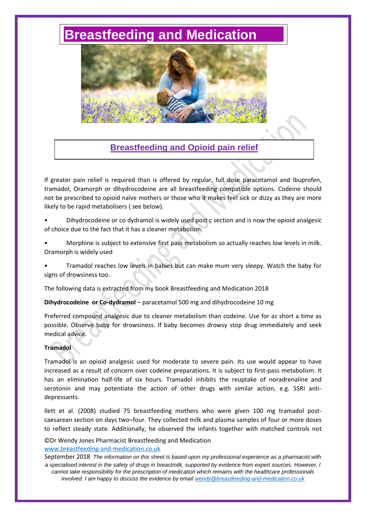# **[Breastfeeding and Medication](http://www.breastfeeding-and-medication.co.uk/)**



# **Breastfeeding and Opioid pain relief**

If greater pain relief is required than is offered by regular, full dose paracetamol and ibuprofen, tramadol, Oramorph or dihydrocodeine are all breastfeeding compatible options. Codeine should not be prescribed to opioid naïve mothers or those who it makes feel sick or dizzy as they are more likely to be rapid metabolisers ( see below).

- Dihydrocodeine or co dydramol is widely used post c section and is now the opioid analgesic of choice due to the fact that it has a cleaner metabolism.
- Morphine is subject to extensive first pass metabolism so actually reaches low levels in milk. Oramorph is widely used
- Tramadol reaches low levels in babies but can make mum very sleepy. Watch the baby for signs of drowsiness too.

The following data is extracted from my book Breastfeeding and Medication 2018

**Dihydrocodeine or Co-dydramol** – paracetamol 500 mg and dihydrocodeine 10 mg

Preferred compound analgesic due to cleaner metabolism than codeine. Use for as short a time as possible. Observe baby for drowsiness. If baby becomes drowsy stop drug immediately and seek medical advice.

### **Tramadol**

Tramadol is an opioid analgesic used for moderate to severe pain. Its use would appear to have increased as a result of concern over codeine preparations. It is subject to first-pass metabolism. It has an elimination half-life of six hours. Tramadol inhibits the reuptake of noradrenaline and serotonin and may potentiate the action of other drugs with similar action, e.g. SSRI antidepressants.

Ilett et al. (2008) studied 75 breastfeeding mothers who were given 100 mg tramadol postcaesarean section on days two–four. They collected milk and plasma samples of four or more doses to reflect steady state. Additionally, he observed the infants together with matched controls not

©Dr Wendy Jones Pharmacist Breastfeeding and Medication [www.breastfeeding-and-medication.co.uk](http://www.breastfeeding-and-medication.co.uk/)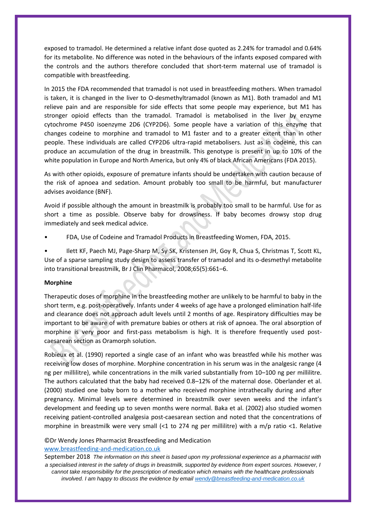exposed to tramadol. He determined a relative infant dose quoted as 2.24% for tramadol and 0.64% for its metabolite. No difference was noted in the behaviours of the infants exposed compared with the controls and the authors therefore concluded that short-term maternal use of tramadol is compatible with breastfeeding.

In 2015 the FDA recommended that tramadol is not used in breastfeeding mothers. When tramadol is taken, it is changed in the liver to O-desmethyltramadol (known as M1). Both tramadol and M1 relieve pain and are responsible for side effects that some people may experience, but M1 has stronger opioid effects than the tramadol. Tramadol is metabolised in the liver by enzyme cytochrome P450 isoenzyme 2D6 (CYP2D6). Some people have a variation of this enzyme that changes codeine to morphine and tramadol to M1 faster and to a greater extent than in other people. These individuals are called CYP2D6 ultra-rapid metabolisers. Just as in codeine, this can produce an accumulation of the drug in breastmilk. This genotype is present in up to 10% of the white population in Europe and North America, but only 4% of black African Americans (FDA 2015).

As with other opioids, exposure of premature infants should be undertaken with caution because of the risk of apnoea and sedation. Amount probably too small to be harmful, but manufacturer advises avoidance (BNF).

Avoid if possible although the amount in breastmilk is probably too small to be harmful. Use for as short a time as possible. Observe baby for drowsiness. If baby becomes drowsy stop drug immediately and seek medical advice.

• FDA, Use of Codeine and Tramadol Products in Breastfeeding Women, FDA, 2015.

• Ilett KF, Paech MJ, Page-Sharp M, Sy SK, Kristensen JH, Goy R, Chua S, Christmas T, Scott KL, Use of a sparse sampling study design to assess transfer of tramadol and its o-desmethyl metabolite into transitional breastmilk, Br J Clin Pharmacol, 2008;65(5):661–6.

#### **Morphine**

Therapeutic doses of morphine in the breastfeeding mother are unlikely to be harmful to baby in the short term, e.g. post-operatively. Infants under 4 weeks of age have a prolonged elimination half-life and clearance does not approach adult levels until 2 months of age. Respiratory difficulties may be important to be aware of with premature babies or others at risk of apnoea. The oral absorption of morphine is very poor and first-pass metabolism is high. It is therefore frequently used postcaesarean section as Oramorph solution.

Robieux et al. (1990) reported a single case of an infant who was breastfed while his mother was receiving low doses of morphine. Morphine concentration in his serum was in the analgesic range (4 ng per millilitre), while concentrations in the milk varied substantially from 10–100 ng per millilitre. The authors calculated that the baby had received 0.8–12% of the maternal dose. Oberlander et al. (2000) studied one baby born to a mother who received morphine intrathecally during and after pregnancy. Minimal levels were determined in breastmilk over seven weeks and the infant's development and feeding up to seven months were normal. Baka et al. (2002) also studied women receiving patient-controlled analgesia post-caesarean section and noted that the concentrations of morphine in breastmilk were very small (<1 to 274 ng per millilitre) with a m/p ratio <1. Relative

## ©Dr Wendy Jones Pharmacist Breastfeeding and Medication

#### [www.breastfeeding-and-medication.co.uk](http://www.breastfeeding-and-medication.co.uk/)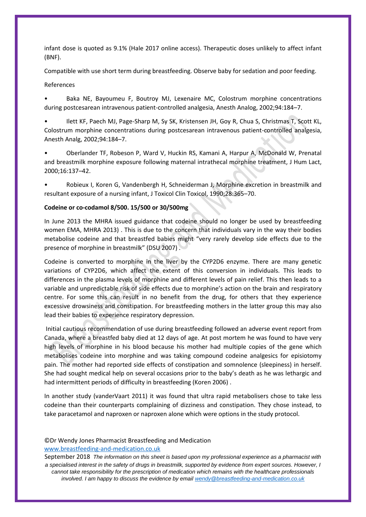infant dose is quoted as 9.1% (Hale 2017 online access). Therapeutic doses unlikely to affect infant (BNF).

Compatible with use short term during breastfeeding. Observe baby for sedation and poor feeding.

#### References

Baka NE, Bayoumeu F, Boutroy MJ, Lexenaire MC, Colostrum morphine concentrations during postcesarean intravenous patient-controlled analgesia, Anesth Analog, 2002;94:184–7.

• Ilett KF, Paech MJ, Page-Sharp M, Sy SK, Kristensen JH, Goy R, Chua S, Christmas T, Scott KL, Colostrum morphine concentrations during postcesarean intravenous patient-controlled analgesia, Anesth Analg, 2002;94:184–7.

• Oberlander TF, Robeson P, Ward V, Huckin RS, Kamani A, Harpur A, McDonald W, Prenatal and breastmilk morphine exposure following maternal intrathecal morphine treatment, J Hum Lact, 2000;16:137–42.

• Robieux I, Koren G, Vandenbergh H, Schneiderman J, Morphine excretion in breastmilk and resultant exposure of a nursing infant, J Toxicol Clin Toxicol, 1990;28:365–70.

#### **Codeine or co-codamol 8/500. 15/500 or 30/500mg**

In June 2013 the MHRA issued guidance that codeine should no longer be used by breastfeeding women EMA, MHRA 2013) . This is due to the concern that individuals vary in the way their bodies metabolise codeine and that breastfed babies might "very rarely develop side effects due to the presence of morphine in breastmilk" (DSU 2007) .

Codeine is converted to morphine in the liver by the CYP2D6 enzyme. There are many genetic variations of CYP2D6, which affect the extent of this conversion in individuals. This leads to differences in the plasma levels of morphine and different levels of pain relief. This then leads to a variable and unpredictable risk of side effects due to morphine's action on the brain and respiratory centre. For some this can result in no benefit from the drug, for others that they experience excessive drowsiness and constipation. For breastfeeding mothers in the latter group this may also lead their babies to experience respiratory depression.

Initial cautious recommendation of use during breastfeeding followed an adverse event report from Canada, where a breastfed baby died at 12 days of age. At post mortem he was found to have very high levels of morphine in his blood because his mother had multiple copies of the gene which metabolises codeine into morphine and was taking compound codeine analgesics for episiotomy pain. The mother had reported side effects of constipation and somnolence (sleepiness) in herself. She had sought medical help on several occasions prior to the baby's death as he was lethargic and had intermittent periods of difficulty in breastfeeding (Koren 2006) .

In another study (vanderVaart 2011) it was found that ultra rapid metabolisers chose to take less codeine than their counterparts complaining of dizziness and constipation. They chose instead, to take paracetamol and naproxen or naproxen alone which were options in the study protocol.

#### ©Dr Wendy Jones Pharmacist Breastfeeding and Medication [www.breastfeeding-and-medication.co.uk](http://www.breastfeeding-and-medication.co.uk/)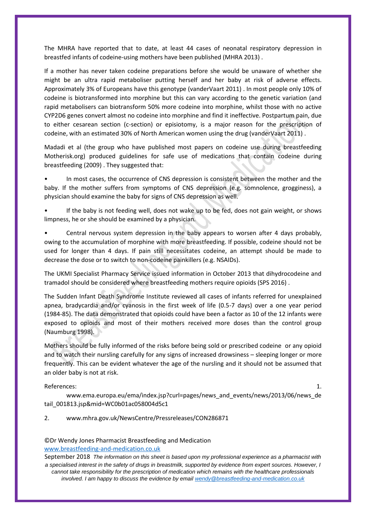The MHRA have reported that to date, at least 44 cases of neonatal respiratory depression in breastfed infants of codeine-using mothers have been published (MHRA 2013) .

If a mother has never taken codeine preparations before she would be unaware of whether she might be an ultra rapid metaboliser putting herself and her baby at risk of adverse effects. Approximately 3% of Europeans have this genotype (vanderVaart 2011) . In most people only 10% of codeine is biotransformed into morphine but this can vary according to the genetic variation (and rapid metabolisers can biotransform 50% more codeine into morphine, whilst those with no active CYP2D6 genes convert almost no codeine into morphine and find it ineffective. Postpartum pain, due to either cesarean section (c-section) or episiotomy, is a major reason for the prescription of codeine, with an estimated 30% of North American women using the drug (vanderVaart 2011) .

Madadi et al (the group who have published most papers on codeine use during breastfeeding Motherisk.org) produced guidelines for safe use of medications that contain codeine during breastfeeding (2009) . They suggested that:

In most cases, the occurrence of CNS depression is consistent between the mother and the baby. If the mother suffers from symptoms of CNS depression (e.g. somnolence, grogginess), a physician should examine the baby for signs of CNS depression as well.

If the baby is not feeding well, does not wake up to be fed, does not gain weight, or shows limpness, he or she should be examined by a physician.

• Central nervous system depression in the baby appears to worsen after 4 days probably, owing to the accumulation of morphine with more breastfeeding. If possible, codeine should not be used for longer than 4 days. If pain still necessitates codeine, an attempt should be made to decrease the dose or to switch to non-codeine painkillers (e.g. NSAIDs).

The UKMI Specialist Pharmacy Service issued information in October 2013 that dihydrocodeine and tramadol should be considered where breastfeeding mothers require opioids (SPS 2016) .

The Sudden Infant Death Syndrome Institute reviewed all cases of infants referred for unexplained apnea, bradycardia and/or cyanosis in the first week of life (0.5-7 days) over a one year period (1984-85). The data demonstrated that opioids could have been a factor as 10 of the 12 infants were exposed to opioids and most of their mothers received more doses than the control group (Naumburg 1998).

Mothers should be fully informed of the risks before being sold or prescribed codeine or any opioid and to watch their nursling carefully for any signs of increased drowsiness – sleeping longer or more frequently. This can be evident whatever the age of the nursling and it should not be assumed that an older baby is not at risk.

References: 1.

www.ema.europa.eu/ema/index.jsp?curl=pages/news\_and\_events/news/2013/06/news\_de tail\_001813.jsp&mid=WC0b01ac058004d5c1

#### 2. www.mhra.gov.uk/NewsCentre/Pressreleases/CON286871

#### ©Dr Wendy Jones Pharmacist Breastfeeding and Medication [www.breastfeeding-and-medication.co.uk](http://www.breastfeeding-and-medication.co.uk/)